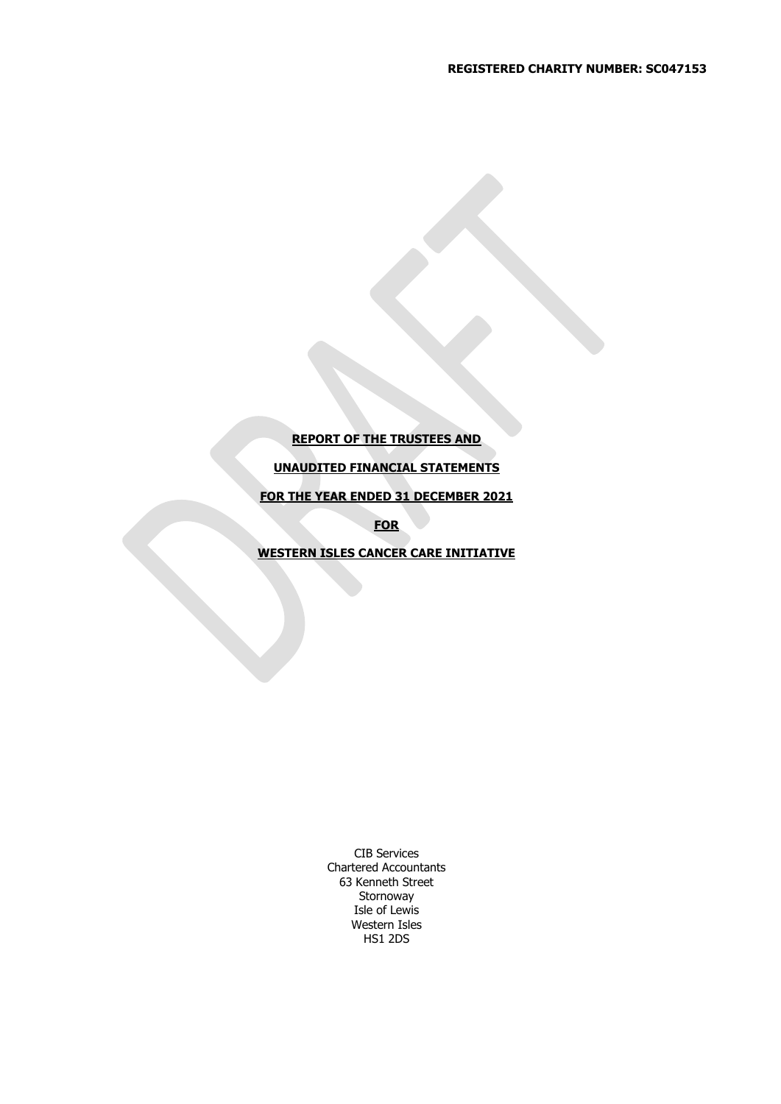# **REPORT OF THE TRUSTEES AND**

# **UNAUDITED FINANCIAL STATEMENTS**

**FOR THE YEAR ENDED 31 DECEMBER 2021**

**FOR**

**WESTERN ISLES CANCER CARE INITIATIVE**

CIB Services Chartered Accountants 63 Kenneth Street Stornoway Isle of Lewis Western Isles HS1 2DS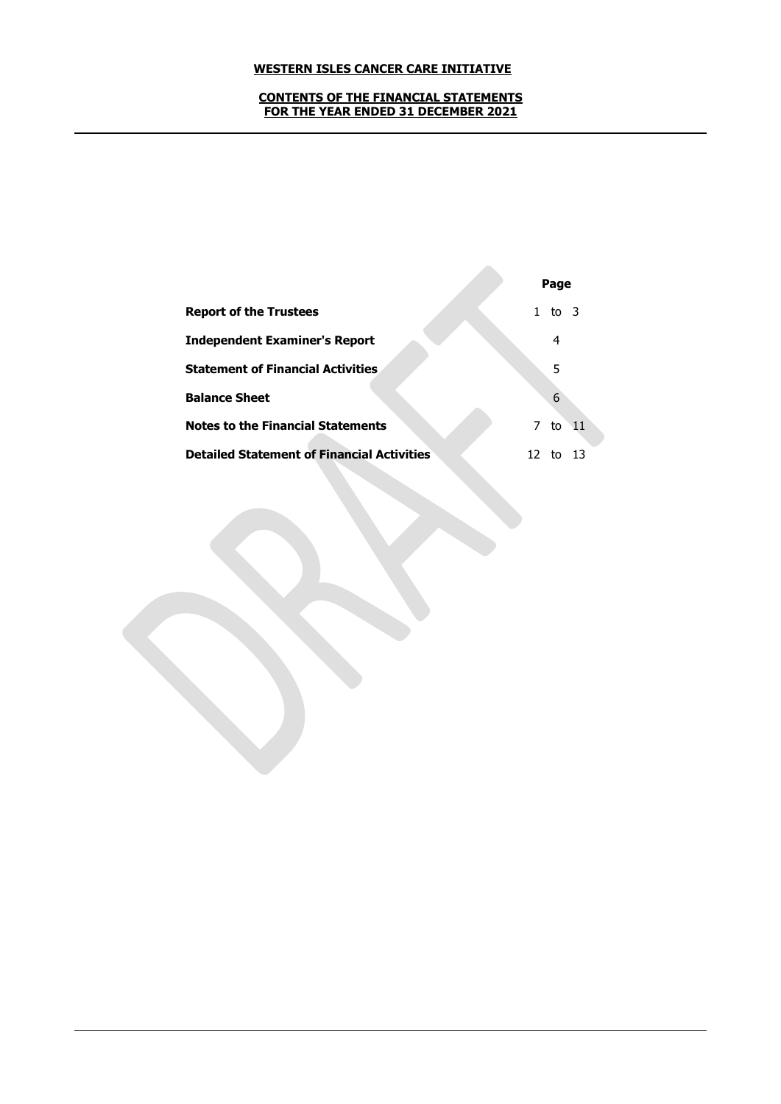#### **CONTENTS OF THE FINANCIAL STATEMENTS FOR THE YEAR ENDED 31 DECEMBER 2021**

|                                                   |   | Page   |             |
|---------------------------------------------------|---|--------|-------------|
| <b>Report of the Trustees</b>                     |   | to $3$ |             |
| <b>Independent Examiner's Report</b>              |   | 4      |             |
| <b>Statement of Financial Activities</b>          |   | 5      |             |
| <b>Balance Sheet</b>                              |   | 6      |             |
| <b>Notes to the Financial Statements</b>          | 7 | to     | $\sqrt{11}$ |
| <b>Detailed Statement of Financial Activities</b> |   |        |             |

 $\mathcal{L}_{\mathcal{A}}$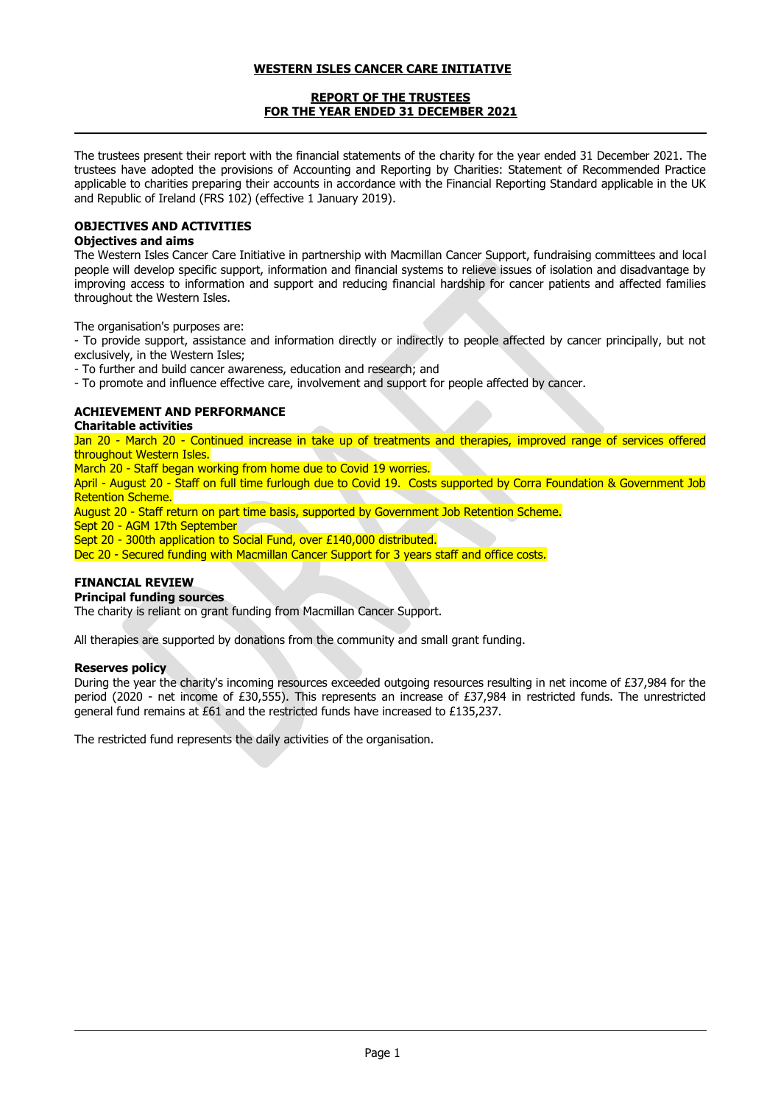## **REPORT OF THE TRUSTEES FOR THE YEAR ENDED 31 DECEMBER 2021**

The trustees present their report with the financial statements of the charity for the year ended 31 December 2021. The trustees have adopted the provisions of Accounting and Reporting by Charities: Statement of Recommended Practice applicable to charities preparing their accounts in accordance with the Financial Reporting Standard applicable in the UK and Republic of Ireland (FRS 102) (effective 1 January 2019).

# **OBJECTIVES AND ACTIVITIES**

# **Objectives and aims**

The Western Isles Cancer Care Initiative in partnership with Macmillan Cancer Support, fundraising committees and local people will develop specific support, information and financial systems to relieve issues of isolation and disadvantage by improving access to information and support and reducing financial hardship for cancer patients and affected families throughout the Western Isles.

The organisation's purposes are:

- To provide support, assistance and information directly or indirectly to people affected by cancer principally, but not exclusively, in the Western Isles;

- To further and build cancer awareness, education and research; and

- To promote and influence effective care, involvement and support for people affected by cancer.

# **ACHIEVEMENT AND PERFORMANCE**

## **Charitable activities**

Jan 20 - March 20 - Continued increase in take up of treatments and therapies, improved range of services offered throughout Western Isles.

March 20 - Staff began working from home due to Covid 19 worries.

April - August 20 - Staff on full time furlough due to Covid 19. Costs supported by Corra Foundation & Government Job Retention Scheme.

August 20 - Staff return on part time basis, supported by Government Job Retention Scheme.

Sept 20 - AGM 17th September

Sept 20 - 300th application to Social Fund, over £140,000 distributed.

Dec 20 - Secured funding with Macmillan Cancer Support for 3 years staff and office costs.

## **FINANCIAL REVIEW**

## **Principal funding sources**

The charity is reliant on grant funding from Macmillan Cancer Support.

All therapies are supported by donations from the community and small grant funding.

## **Reserves policy**

During the year the charity's incoming resources exceeded outgoing resources resulting in net income of £37,984 for the period (2020 - net income of £30,555). This represents an increase of £37,984 in restricted funds. The unrestricted general fund remains at £61 and the restricted funds have increased to £135,237.

The restricted fund represents the daily activities of the organisation.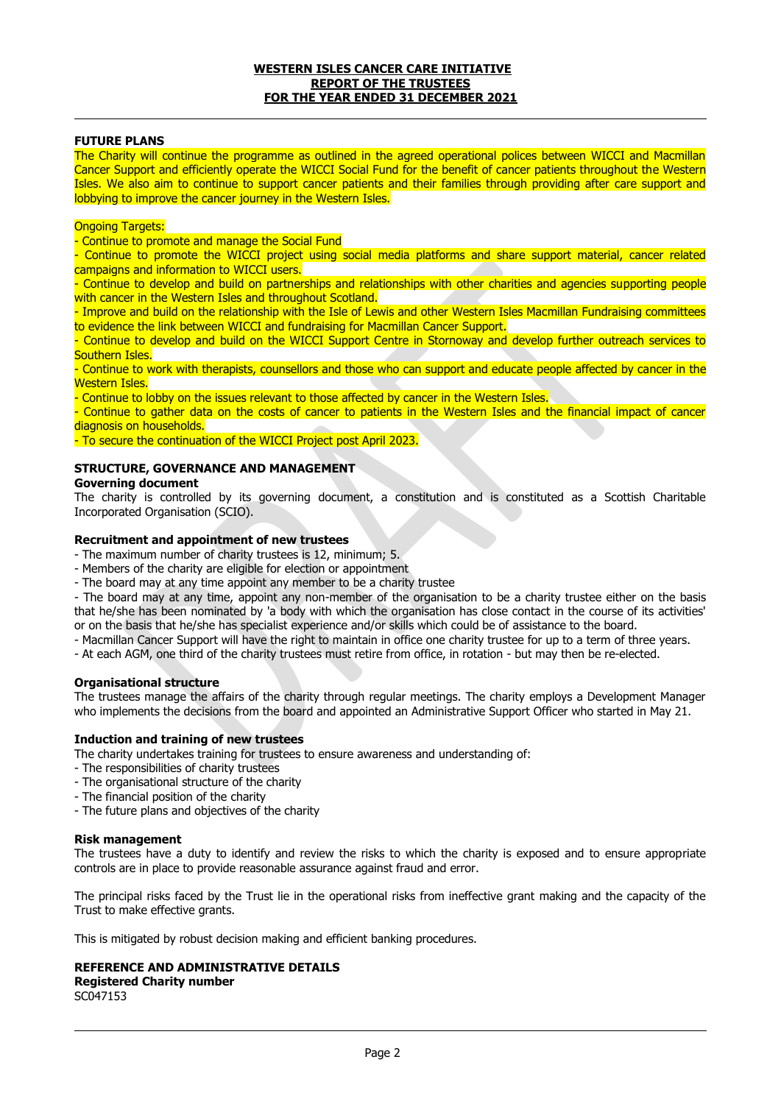#### **WESTERN ISLES CANCER CARE INITIATIVE REPORT OF THE TRUSTEES FOR THE YEAR ENDED 31 DECEMBER 2021**

### **FUTURE PLANS**

The Charity will continue the programme as outlined in the agreed operational polices between WICCI and Macmillan Cancer Support and efficiently operate the WICCI Social Fund for the benefit of cancer patients throughout the Western Isles. We also aim to continue to support cancer patients and their families through providing after care support and lobbying to improve the cancer journey in the Western Isles.

#### **Ongoing Targets:**

- Continue to promote and manage the Social Fund

- Continue to promote the WICCI project using social media platforms and share support material, cancer related campaigns and information to WICCI users.

- Continue to develop and build on partnerships and relationships with other charities and agencies supporting people with cancer in the Western Isles and throughout Scotland.

- Improve and build on the relationship with the Isle of Lewis and other Western Isles Macmillan Fundraising committees to evidence the link between WICCI and fundraising for Macmillan Cancer Support.

- Continue to develop and build on the WICCI Support Centre in Stornoway and develop further outreach services to Southern Isles.

- Continue to work with therapists, counsellors and those who can support and educate people affected by cancer in the Western Isles.

- Continue to lobby on the issues relevant to those affected by cancer in the Western Isles.

- Continue to gather data on the costs of cancer to patients in the Western Isles and the financial impact of cancer diagnosis on households.

- To secure the continuation of the WICCI Project post April 2023.

## **STRUCTURE, GOVERNANCE AND MANAGEMENT**

### **Governing document**

The charity is controlled by its governing document, a constitution and is constituted as a Scottish Charitable Incorporated Organisation (SCIO).

### **Recruitment and appointment of new trustees**

- The maximum number of charity trustees is 12, minimum; 5.

- Members of the charity are eligible for election or appointment

- The board may at any time appoint any member to be a charity trustee

- The board may at any time, appoint any non-member of the organisation to be a charity trustee either on the basis that he/she has been nominated by 'a body with which the organisation has close contact in the course of its activities' or on the basis that he/she has specialist experience and/or skills which could be of assistance to the board.

- Macmillan Cancer Support will have the right to maintain in office one charity trustee for up to a term of three years.

- At each AGM, one third of the charity trustees must retire from office, in rotation - but may then be re-elected.

#### **Organisational structure**

The trustees manage the affairs of the charity through regular meetings. The charity employs a Development Manager who implements the decisions from the board and appointed an Administrative Support Officer who started in May 21.

### **Induction and training of new trustees**

The charity undertakes training for trustees to ensure awareness and understanding of:

- The responsibilities of charity trustees
- The organisational structure of the charity
- The financial position of the charity
- The future plans and objectives of the charity

#### **Risk management**

The trustees have a duty to identify and review the risks to which the charity is exposed and to ensure appropriate controls are in place to provide reasonable assurance against fraud and error.

The principal risks faced by the Trust lie in the operational risks from ineffective grant making and the capacity of the Trust to make effective grants.

This is mitigated by robust decision making and efficient banking procedures.

#### **REFERENCE AND ADMINISTRATIVE DETAILS**

**Registered Charity number** SC047153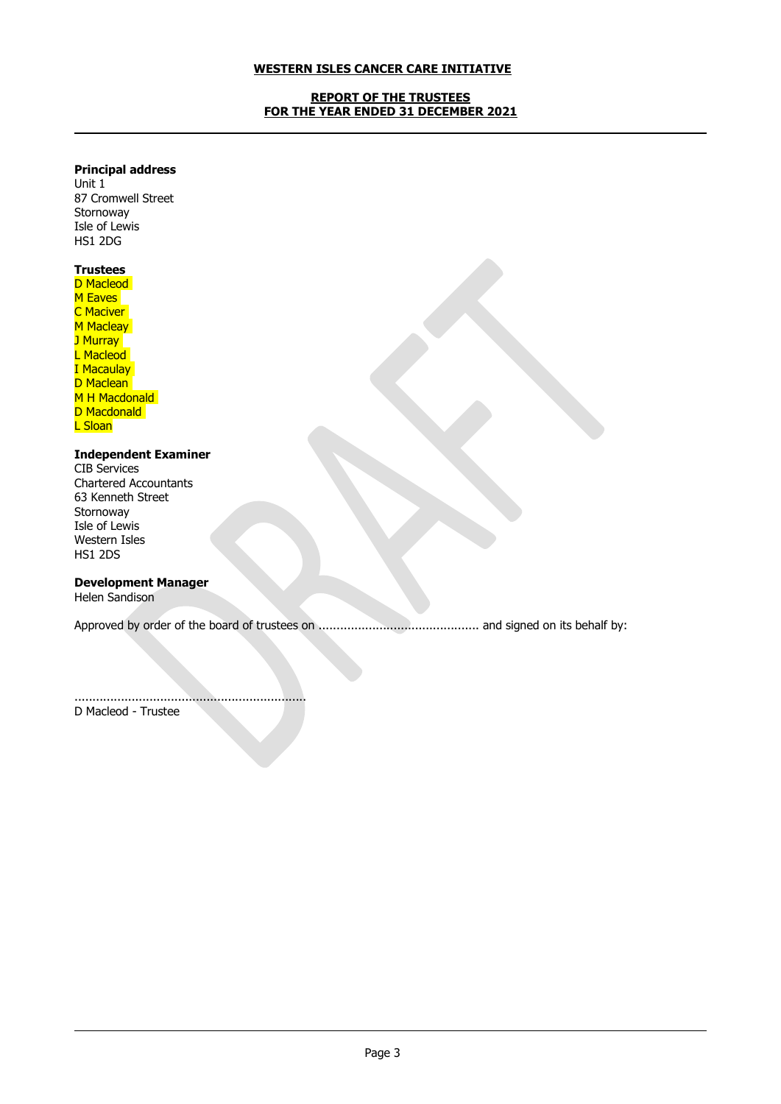## **REPORT OF THE TRUSTEES FOR THE YEAR ENDED 31 DECEMBER 2021**

# **Principal address**

Unit 1 87 Cromwell Street **Stornoway** Isle of Lewis HS1 2DG

# **Trustees**

D Macleod M Eaves **C** Maciver M Macleay J Murray<sup>1</sup> L Macleod I Macaulay D Maclean M H Macdonald D Macdonald L Sloan

# **Independent Examiner**

CIB Services Chartered Accountants 63 Kenneth Street Stornoway Isle of Lewis Western Isles HS1 2DS

# **Development Manager**

Helen Sandison

Approved by order of the board of trustees on ............................................. and signed on its behalf by:

.................................................................

D Macleod - Trustee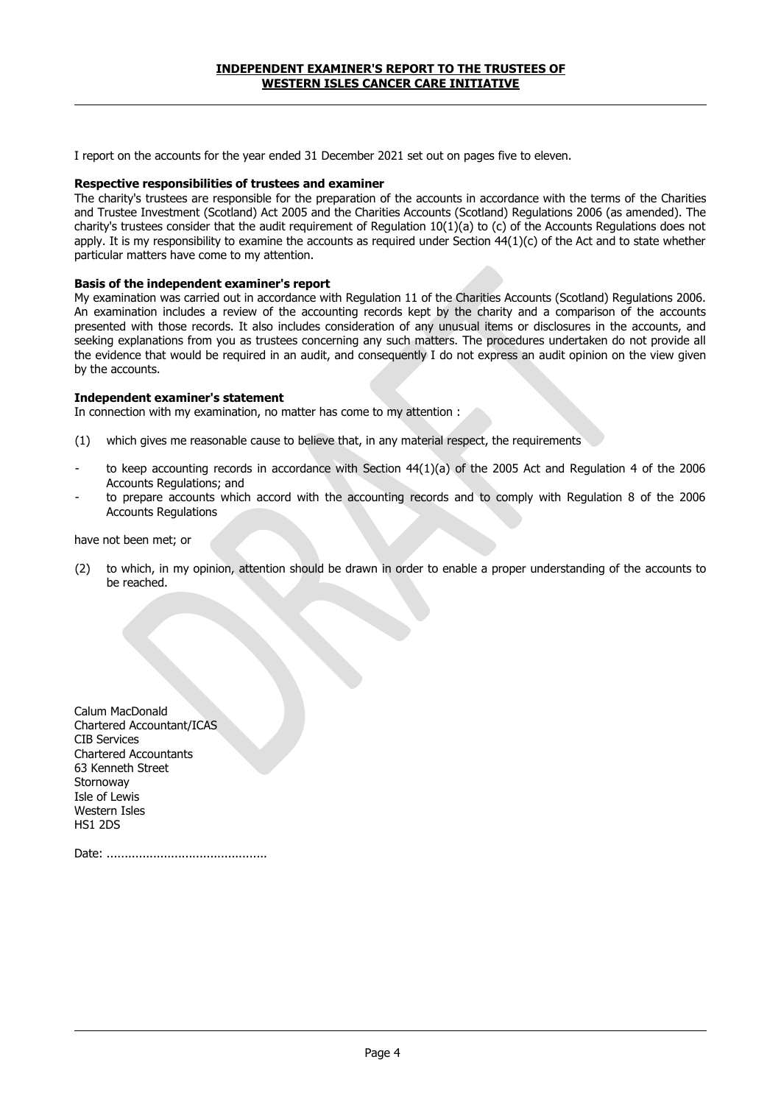I report on the accounts for the year ended 31 December 2021 set out on pages five to eleven.

#### **Respective responsibilities of trustees and examiner**

The charity's trustees are responsible for the preparation of the accounts in accordance with the terms of the Charities and Trustee Investment (Scotland) Act 2005 and the Charities Accounts (Scotland) Regulations 2006 (as amended). The charity's trustees consider that the audit requirement of Regulation 10(1)(a) to (c) of the Accounts Regulations does not apply. It is my responsibility to examine the accounts as required under Section  $44(1)(c)$  of the Act and to state whether particular matters have come to my attention.

#### **Basis of the independent examiner's report**

My examination was carried out in accordance with Regulation 11 of the Charities Accounts (Scotland) Regulations 2006. An examination includes a review of the accounting records kept by the charity and a comparison of the accounts presented with those records. It also includes consideration of any unusual items or disclosures in the accounts, and seeking explanations from you as trustees concerning any such matters. The procedures undertaken do not provide all the evidence that would be required in an audit, and consequently I do not express an audit opinion on the view given by the accounts.

#### **Independent examiner's statement**

In connection with my examination, no matter has come to my attention :

- (1) which gives me reasonable cause to believe that, in any material respect, the requirements
- to keep accounting records in accordance with Section 44(1)(a) of the 2005 Act and Regulation 4 of the 2006 Accounts Regulations; and
- to prepare accounts which accord with the accounting records and to comply with Regulation 8 of the 2006 Accounts Regulations

have not been met; or

(2) to which, in my opinion, attention should be drawn in order to enable a proper understanding of the accounts to be reached.

| Calum MacDonald              |
|------------------------------|
| Chartered Accountant/ICAS    |
| <b>CIB Services</b>          |
| <b>Chartered Accountants</b> |
| 63 Kenneth Street            |
| Stornoway                    |
| Isle of Lewis                |
| Western Isles                |
| HS1 2DS                      |
|                              |

Date: .............................................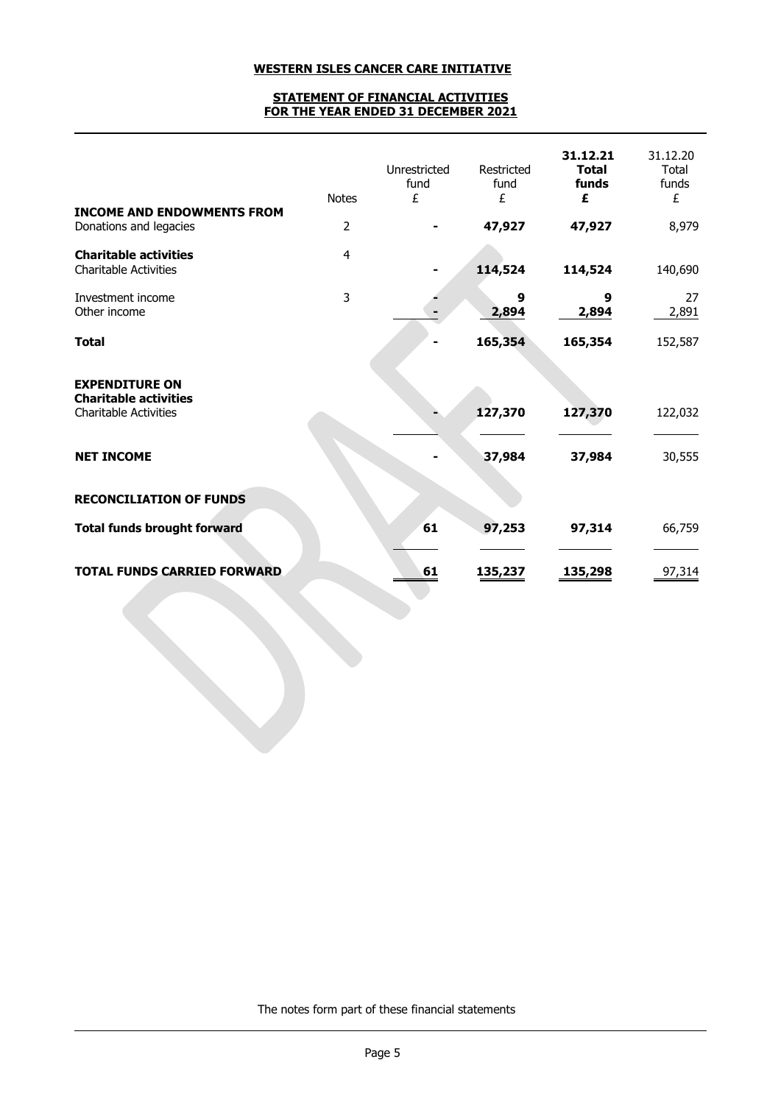### **STATEMENT OF FINANCIAL ACTIVITIES FOR THE YEAR ENDED 31 DECEMBER 2021**

|                                                                                       | <b>Notes</b>   | Unrestricted<br>fund<br>£ | Restricted<br>fund<br>£ | 31.12.21<br><b>Total</b><br>funds<br>£ | 31.12.20<br>Total<br>funds<br>£ |
|---------------------------------------------------------------------------------------|----------------|---------------------------|-------------------------|----------------------------------------|---------------------------------|
| <b>INCOME AND ENDOWMENTS FROM</b><br>Donations and legacies                           | $\overline{2}$ |                           | 47,927                  | 47,927                                 | 8,979                           |
| <b>Charitable activities</b><br><b>Charitable Activities</b>                          | 4              |                           | 114,524                 | 114,524                                | 140,690                         |
| Investment income<br>Other income                                                     | 3              |                           | 9<br>2,894              | 9<br>2,894                             | 27<br>2,891                     |
| <b>Total</b>                                                                          |                |                           | 165,354                 | 165,354                                | 152,587                         |
| <b>EXPENDITURE ON</b><br><b>Charitable activities</b><br><b>Charitable Activities</b> |                |                           | 127,370                 | 127,370                                | 122,032                         |
| <b>NET INCOME</b>                                                                     |                |                           | 37,984                  | 37,984                                 | 30,555                          |
| <b>RECONCILIATION OF FUNDS</b>                                                        |                |                           |                         |                                        |                                 |
| <b>Total funds brought forward</b>                                                    |                | 61                        | 97,253                  | 97,314                                 | 66,759                          |
| <b>TOTAL FUNDS CARRIED FORWARD</b>                                                    |                | 61                        | 135,237                 | 135,298                                | 97,314                          |

The notes form part of these financial statements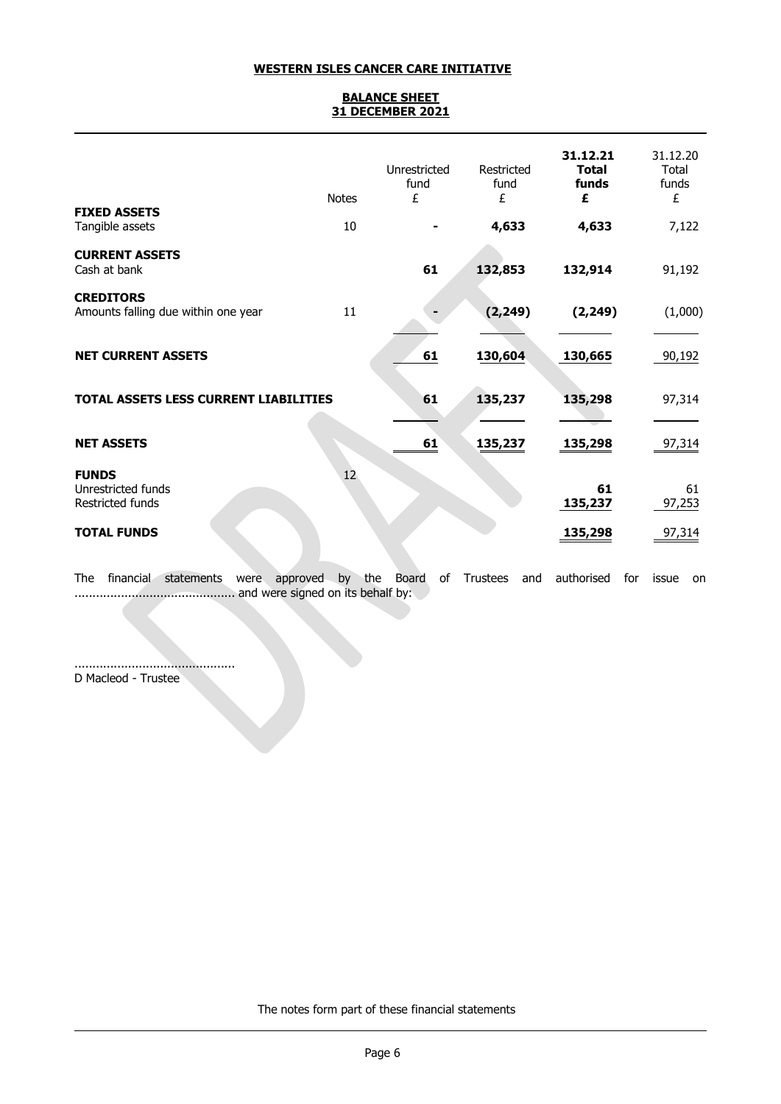## **BALANCE SHEET 31 DECEMBER 2021**

|                                                         | <b>Notes</b>    | Unrestricted<br>fund<br>£ | Restricted<br>fund<br>£ | 31.12.21<br><b>Total</b><br>funds<br>£ | 31.12.20<br>Total<br>funds<br>£ |
|---------------------------------------------------------|-----------------|---------------------------|-------------------------|----------------------------------------|---------------------------------|
| <b>FIXED ASSETS</b><br>Tangible assets                  | 10              |                           | 4,633                   | 4,633                                  | 7,122                           |
| <b>CURRENT ASSETS</b><br>Cash at bank                   |                 | 61                        | 132,853                 | 132,914                                | 91,192                          |
| <b>CREDITORS</b><br>Amounts falling due within one year | 11              |                           | (2, 249)                | (2, 249)                               | (1,000)                         |
| <b>NET CURRENT ASSETS</b>                               |                 | 61                        | 130,604                 | 130,665                                | 90,192                          |
| <b>TOTAL ASSETS LESS CURRENT LIABILITIES</b>            |                 | 61                        | 135,237                 | 135,298                                | 97,314                          |
| <b>NET ASSETS</b>                                       |                 | 61                        | 135,237                 | 135,298                                | 97,314                          |
| <b>FUNDS</b><br>Unrestricted funds<br>Restricted funds  | 12 <sup>°</sup> |                           |                         | 61<br>135,237                          | 61<br>97,253                    |
| <b>TOTAL FUNDS</b>                                      |                 |                           |                         | <u>135,298</u>                         | 97,314                          |

The financial statements were approved by the Board of Trustees and authorised for issue on ............................................. and were signed on its behalf by:

............................................. D Macleod - Trustee

The notes form part of these financial statements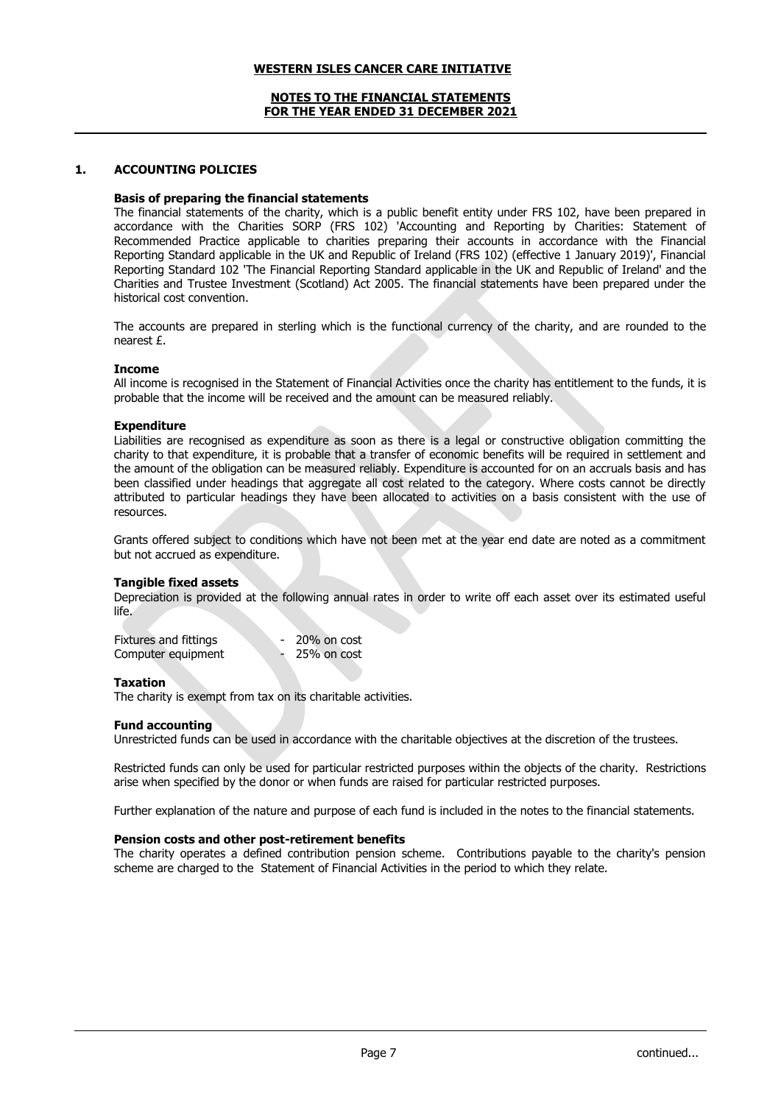### **NOTES TO THE FINANCIAL STATEMENTS FOR THE YEAR ENDED 31 DECEMBER 2021**

### **1. ACCOUNTING POLICIES**

#### **Basis of preparing the financial statements**

The financial statements of the charity, which is a public benefit entity under FRS 102, have been prepared in accordance with the Charities SORP (FRS 102) 'Accounting and Reporting by Charities: Statement of Recommended Practice applicable to charities preparing their accounts in accordance with the Financial Reporting Standard applicable in the UK and Republic of Ireland (FRS 102) (effective 1 January 2019)', Financial Reporting Standard 102 'The Financial Reporting Standard applicable in the UK and Republic of Ireland' and the Charities and Trustee Investment (Scotland) Act 2005. The financial statements have been prepared under the historical cost convention.

The accounts are prepared in sterling which is the functional currency of the charity, and are rounded to the nearest £.

#### **Income**

All income is recognised in the Statement of Financial Activities once the charity has entitlement to the funds, it is probable that the income will be received and the amount can be measured reliably.

#### **Expenditure**

Liabilities are recognised as expenditure as soon as there is a legal or constructive obligation committing the charity to that expenditure, it is probable that a transfer of economic benefits will be required in settlement and the amount of the obligation can be measured reliably. Expenditure is accounted for on an accruals basis and has been classified under headings that aggregate all cost related to the category. Where costs cannot be directly attributed to particular headings they have been allocated to activities on a basis consistent with the use of resources.

Grants offered subject to conditions which have not been met at the year end date are noted as a commitment but not accrued as expenditure.

#### **Tangible fixed assets**

Depreciation is provided at the following annual rates in order to write off each asset over its estimated useful life.

| Fixtures and fittings | 20% on cost |
|-----------------------|-------------|
| Computer equipment    | 25% on cost |

#### **Taxation**

The charity is exempt from tax on its charitable activities.

#### **Fund accounting**

Unrestricted funds can be used in accordance with the charitable objectives at the discretion of the trustees.

Restricted funds can only be used for particular restricted purposes within the objects of the charity. Restrictions arise when specified by the donor or when funds are raised for particular restricted purposes.

Further explanation of the nature and purpose of each fund is included in the notes to the financial statements.

#### **Pension costs and other post-retirement benefits**

The charity operates a defined contribution pension scheme. Contributions payable to the charity's pension scheme are charged to the Statement of Financial Activities in the period to which they relate.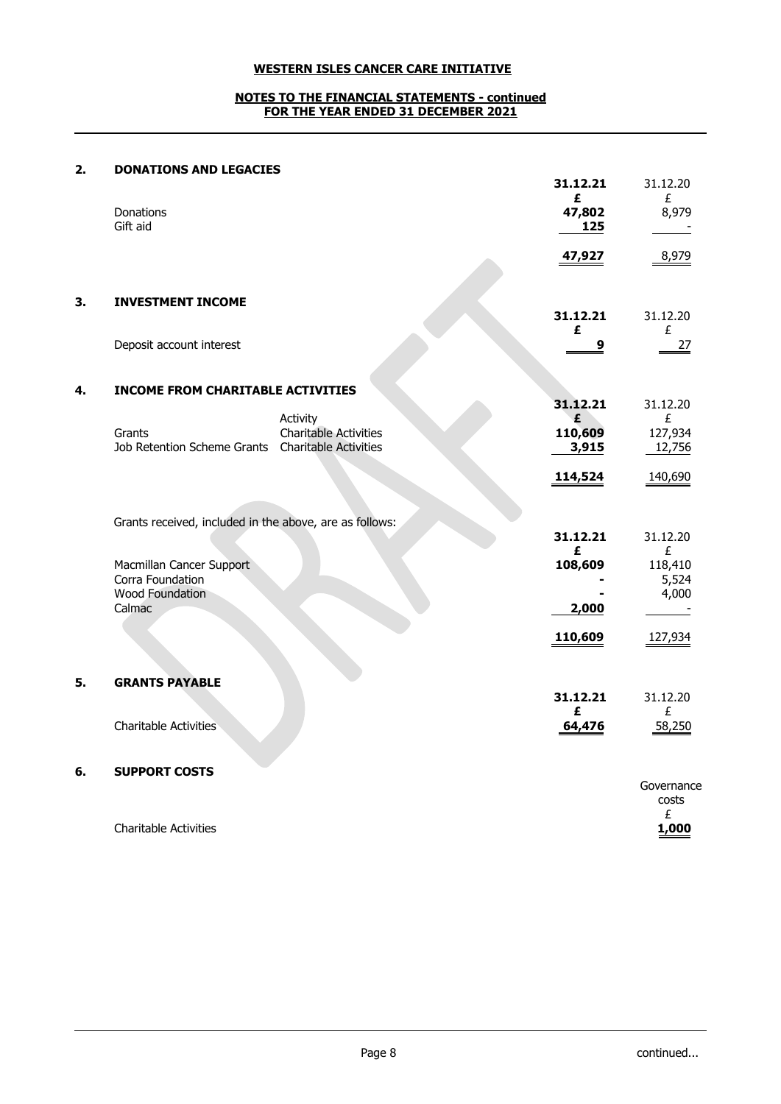## **NOTES TO THE FINANCIAL STATEMENTS - continued FOR THE YEAR ENDED 31 DECEMBER 2021**

# **2. DONATIONS AND LEGACIES**

Charitable Activities **1,000**

|    |                                                                        |                              | 31.12.21<br>£    | 31.12.20<br>£             |
|----|------------------------------------------------------------------------|------------------------------|------------------|---------------------------|
|    | Donations<br>Gift aid                                                  |                              | 47,802<br>125    | 8,979                     |
|    |                                                                        |                              | 47,927           | 8,979                     |
| 3. | <b>INVESTMENT INCOME</b>                                               |                              | 31.12.21         | 31.12.20                  |
|    | Deposit account interest                                               |                              | £<br>9           | £<br>27                   |
| 4. | <b>INCOME FROM CHARITABLE ACTIVITIES</b>                               |                              |                  |                           |
|    |                                                                        | Activity                     | 31.12.21<br>£    | 31.12.20<br>£             |
|    | Grants<br>Job Retention Scheme Grants  Charitable Activities           | <b>Charitable Activities</b> | 110,609<br>3,915 | 127,934<br>12,756         |
|    |                                                                        |                              | 114,524          | 140,690                   |
|    | Grants received, included in the above, are as follows:                |                              |                  |                           |
|    |                                                                        |                              | 31.12.21<br>£    | 31.12.20<br>£             |
|    | Macmillan Cancer Support<br>Corra Foundation<br><b>Wood Foundation</b> |                              | 108,609          | 118,410<br>5,524<br>4,000 |
|    | Calmac                                                                 |                              | 2,000            |                           |
|    |                                                                        |                              | 110,609          | 127,934                   |
| 5. | <b>GRANTS PAYABLE</b>                                                  |                              |                  |                           |
|    |                                                                        |                              | 31.12.21<br>£    | 31.12.20<br>£             |
|    | <b>Charitable Activities</b>                                           |                              | 64,476           | 58,250                    |
| 6. | <b>SUPPORT COSTS</b>                                                   |                              |                  | Governance                |
|    |                                                                        |                              |                  | costs                     |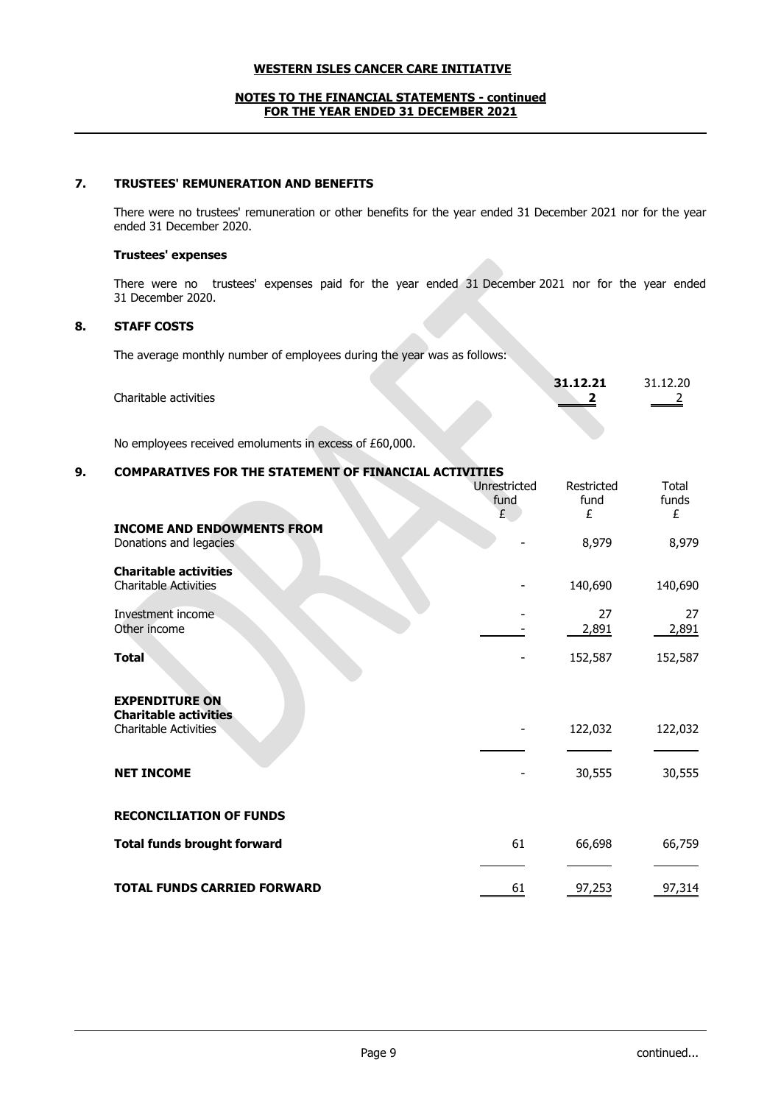### **NOTES TO THE FINANCIAL STATEMENTS - continued FOR THE YEAR ENDED 31 DECEMBER 2021**

## **7. TRUSTEES' REMUNERATION AND BENEFITS**

There were no trustees' remuneration or other benefits for the year ended 31 December 2021 nor for the year ended 31 December 2020.

## **Trustees' expenses**

There were no trustees' expenses paid for the year ended 31 December 2021 nor for the year ended 31 December 2020.

## **8. STAFF COSTS**

The average monthly number of employees during the year was as follows:

|                       |  | 31.12.21 | 31.12.20 |
|-----------------------|--|----------|----------|
| Charitable activities |  |          |          |
|                       |  |          |          |
|                       |  |          |          |

No employees received emoluments in excess of £60,000.

## **9. COMPARATIVES FOR THE STATEMENT OF FINANCIAL ACTIVITIES**

|                                                                                       | Unrestricted<br>fund<br>£ | Restricted<br>fund<br>£ | Total<br>funds<br>£ |
|---------------------------------------------------------------------------------------|---------------------------|-------------------------|---------------------|
| <b>INCOME AND ENDOWMENTS FROM</b><br>Donations and legacies                           |                           | 8,979                   | 8,979               |
| <b>Charitable activities</b><br><b>Charitable Activities</b>                          |                           | 140,690                 | 140,690             |
| Investment income<br>Other income                                                     |                           | 27<br>2,891             | 27<br>2,891         |
| <b>Total</b>                                                                          |                           | 152,587                 | 152,587             |
| <b>EXPENDITURE ON</b><br><b>Charitable activities</b><br><b>Charitable Activities</b> |                           | 122,032                 | 122,032             |
| <b>NET INCOME</b>                                                                     |                           | 30,555                  | 30,555              |
| <b>RECONCILIATION OF FUNDS</b>                                                        |                           |                         |                     |
| <b>Total funds brought forward</b>                                                    | 61                        | 66,698                  | 66,759              |
| <b>TOTAL FUNDS CARRIED FORWARD</b>                                                    | 61                        | 97,253                  | 97,314              |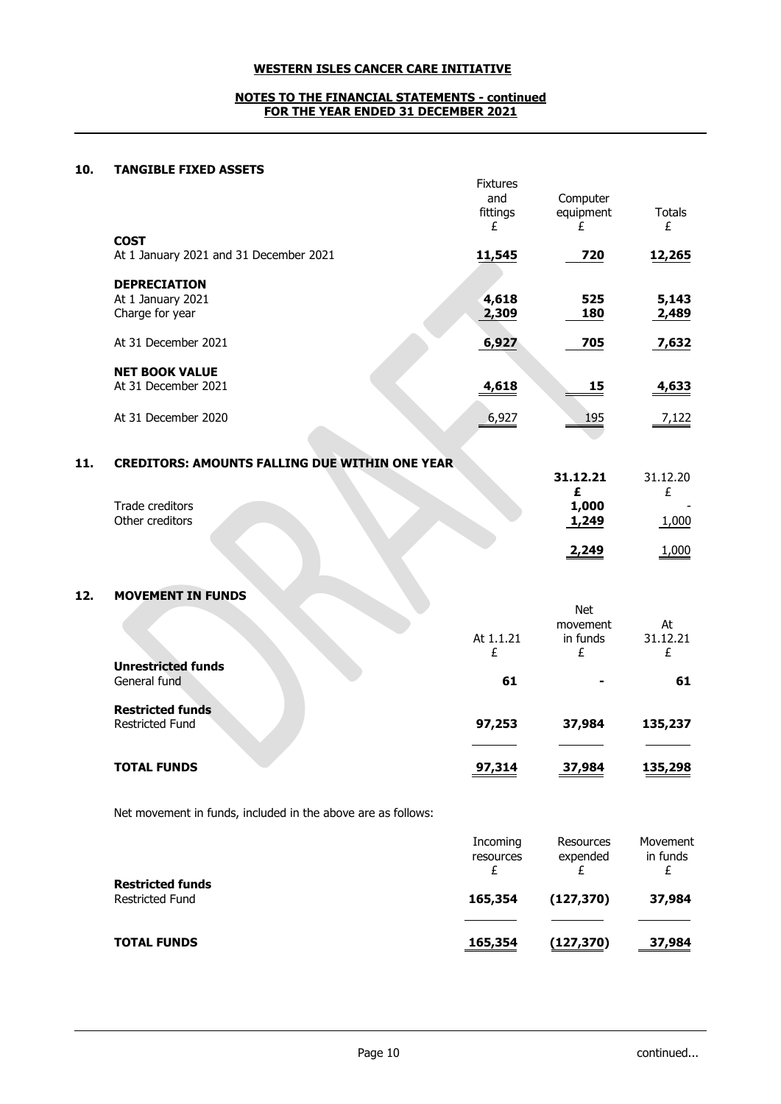### **NOTES TO THE FINANCIAL STATEMENTS - continued FOR THE YEAR ENDED 31 DECEMBER 2021**

## **10. TANGIBLE FIXED ASSETS**

|                                                             | <b>Fixtures</b><br>and<br>fittings<br>£ | Computer<br>equipment<br>£ | Totals<br>£    |
|-------------------------------------------------------------|-----------------------------------------|----------------------------|----------------|
| <b>COST</b><br>At 1 January 2021 and 31 December 2021       | 11,545                                  | 720                        | 12,265         |
| <b>DEPRECIATION</b><br>At 1 January 2021<br>Charge for year | 4,618<br>2,309                          | 525<br>180                 | 5,143<br>2,489 |
| At 31 December 2021                                         | 6,927                                   | 705                        | 7,632          |
| <b>NET BOOK VALUE</b><br>At 31 December 2021                | 4,618                                   | 15                         | 4,633          |
| At 31 December 2020                                         | 6,927                                   | 195                        | 7,122          |

| 11 | <b>CREDITORS: AMOUNTS FALLING DUE WITHIN ONE YEAR</b> |          |          |
|----|-------------------------------------------------------|----------|----------|
|    |                                                       | 31.12.21 | 31.12.20 |
|    |                                                       |          |          |
|    | Trade creditors                                       | 1,000    |          |
|    | Other creditors                                       | 1,249    | ,000     |
|    |                                                       | 2.249    | 000      |

# **12. MOVEMENT IN FUNDS**

|                                                   | At 1.1.21<br>£ | Net<br>movement<br>in funds<br>£ | At<br>31.12.21<br>£ |
|---------------------------------------------------|----------------|----------------------------------|---------------------|
| <b>Unrestricted funds</b><br>General fund         | 61             | -                                | 61                  |
| <b>Restricted funds</b><br><b>Restricted Fund</b> | 97,253         | 37,984                           | 135,237             |
| <b>TOTAL FUNDS</b>                                | 97,314         | 37,984                           | 135,298             |

Net movement in funds, included in the above are as follows:

|                                                   | Incoming<br>resources | Resources<br>expended | Movement<br>in funds |
|---------------------------------------------------|-----------------------|-----------------------|----------------------|
| <b>Restricted funds</b><br><b>Restricted Fund</b> | 165,354               | (127, 370)            | 37,984               |
| <b>TOTAL FUNDS</b>                                | 165,354               | (127, 370)            | 37,984               |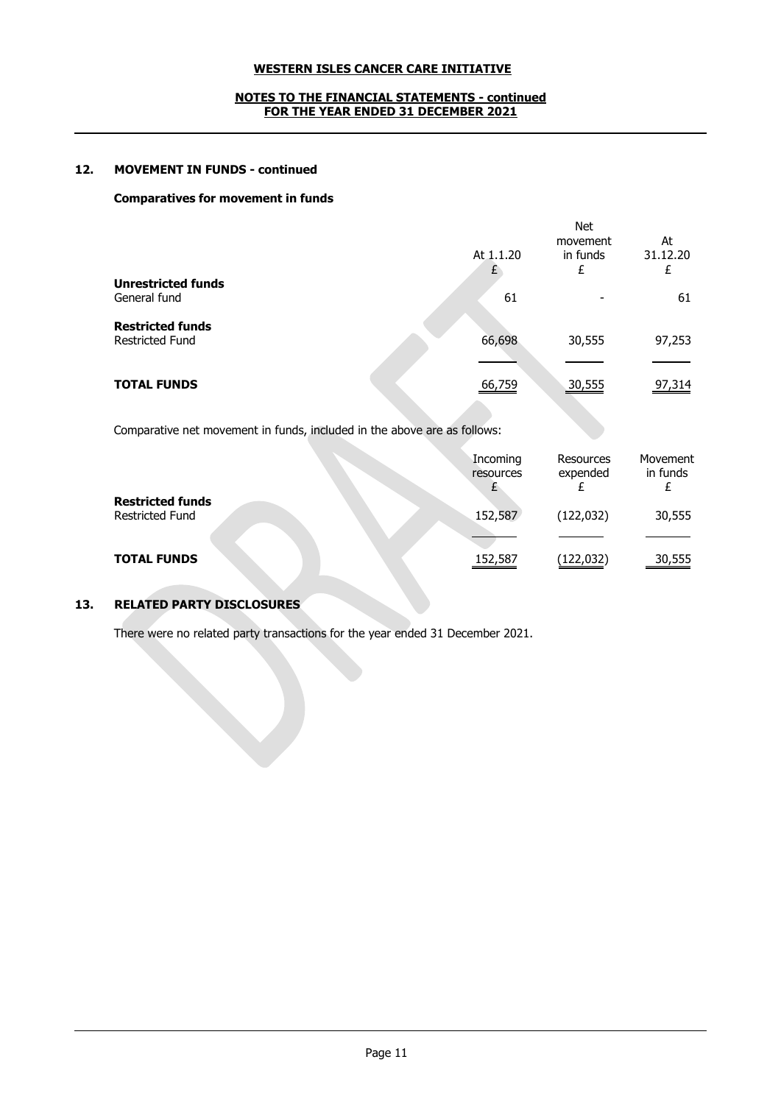## **NOTES TO THE FINANCIAL STATEMENTS - continued FOR THE YEAR ENDED 31 DECEMBER 2021**

## **12. MOVEMENT IN FUNDS - continued**

### **Comparatives for movement in funds**

| <b>Unrestricted funds</b>                         | At 1.1.20 | <b>Net</b><br>movement<br>in funds<br>£ | At<br>31.12.20<br>£ |
|---------------------------------------------------|-----------|-----------------------------------------|---------------------|
| General fund                                      | 61        |                                         | 61                  |
| <b>Restricted funds</b><br><b>Restricted Fund</b> | 66,698    | 30,555                                  | 97,253              |
| <b>TOTAL FUNDS</b>                                | 66,759    | 30,555                                  | 97,314              |

Comparative net movement in funds, included in the above are as follows:

|                                                   | Incoming<br>resources | Resources<br>expended | Movement<br>in funds |
|---------------------------------------------------|-----------------------|-----------------------|----------------------|
| <b>Restricted funds</b><br><b>Restricted Fund</b> | 152,587               | (122, 032)            | 30,555               |
| <b>TOTAL FUNDS</b>                                | 152,587               | (122, 032)            | 30,555               |

# **13. RELATED PARTY DISCLOSURES**

There were no related party transactions for the year ended 31 December 2021.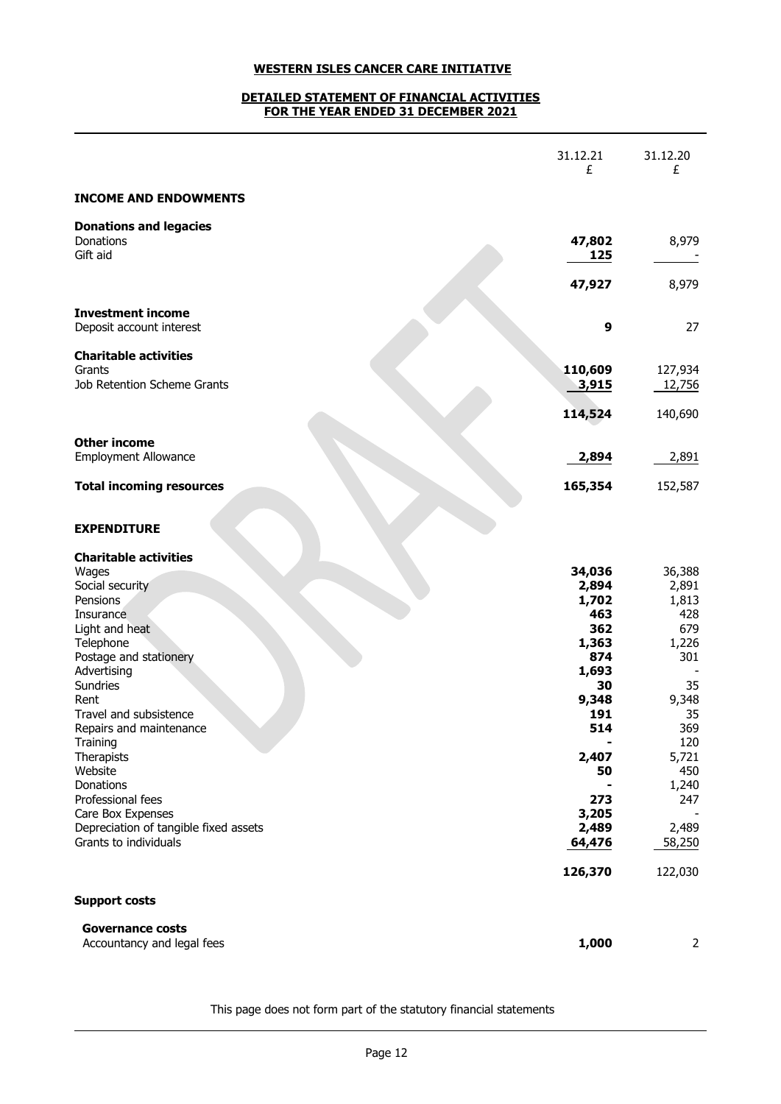## **DETAILED STATEMENT OF FINANCIAL ACTIVITIES FOR THE YEAR ENDED 31 DECEMBER 2021**

|                                                            | 31.12.21<br>£  | 31.12.20<br>£ |
|------------------------------------------------------------|----------------|---------------|
| <b>INCOME AND ENDOWMENTS</b>                               |                |               |
| <b>Donations and legacies</b>                              |                |               |
| Donations<br>Gift aid                                      | 47,802<br>125  | 8,979         |
|                                                            | 47,927         | 8,979         |
| <b>Investment income</b><br>Deposit account interest       | 9              | 27            |
| <b>Charitable activities</b>                               |                |               |
| Grants                                                     | 110,609        | 127,934       |
| Job Retention Scheme Grants                                | 3,915          | 12,756        |
|                                                            | 114,524        | 140,690       |
| <b>Other income</b>                                        |                |               |
| <b>Employment Allowance</b>                                | 2,894          | 2,891         |
| <b>Total incoming resources</b>                            | 165,354        | 152,587       |
| <b>EXPENDITURE</b>                                         |                |               |
| <b>Charitable activities</b><br>Wages                      | 34,036         | 36,388        |
| Social security                                            | 2,894          | 2,891         |
| Pensions                                                   | 1,702          | 1,813         |
| Insurance                                                  | 463            | 428           |
| Light and heat                                             | 362            | 679           |
| Telephone                                                  | 1,363          | 1,226         |
| Postage and stationery                                     | 874            | 301           |
| Advertising<br><b>Sundries</b>                             | 1,693<br>30    | 35            |
| Rent                                                       | 9,348          | 9,348         |
| Travel and subsistence                                     | 191            | 35            |
| Repairs and maintenance                                    | 514            | 369           |
| Training                                                   |                | 120           |
| Therapists                                                 | 2,407          | 5,721         |
| Website                                                    | 50             | 450           |
| Donations                                                  |                | 1,240         |
| Professional fees                                          | 273            | 247           |
| Care Box Expenses<br>Depreciation of tangible fixed assets | 3,205<br>2,489 | 2,489         |
| Grants to individuals                                      | 64,476         | 58,250        |
|                                                            |                |               |
|                                                            | 126,370        | 122,030       |
| <b>Support costs</b>                                       |                |               |
| <b>Governance costs</b><br>Accountancy and legal fees      | 1,000          | 2             |
|                                                            |                |               |

This page does not form part of the statutory financial statements